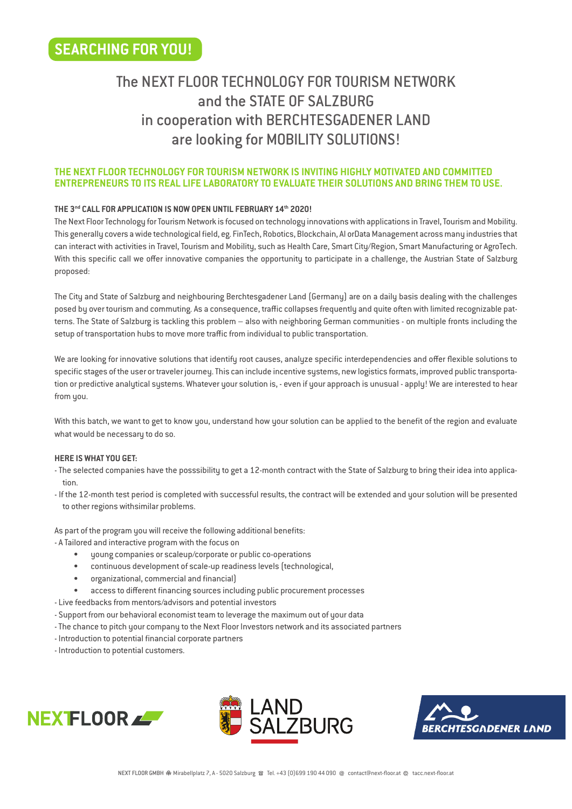# The NEXT FLOOR TECHNOLOGY FOR TOURISM NETWORK and the STATE OF SALZBURG in cooperation with BERCHTESGADENER LAND are looking for MOBILITY SOLUTIONS!

## **THE NEXT FLOOR TECHNOLOGY FOR TOURISM NETWORK IS INVITING HIGHLY MOTIVATED AND COMMITTED ENTREPRENEURS TO ITS REAL LIFE LABORATORY TO EVALUATE THEIR SOLUTIONS AND BRING THEM TO USE.**

# **THE 3nd CALL FOR APPLICATION IS NOW OPEN UNTIL FEBRUARY 14th 2020!**

The Next Floor Technology for Tourism Network is focused on technology innovations with applications in Travel, Tourism and Mobility. This generally covers a wide technological field, eg. FinTech, Robotics, Blockchain, AI orData Management across many industries that can interact with activities in Travel, Tourism and Mobility, such as Health Care, Smart City/Region, Smart Manufacturing or AgroTech. With this specific call we offer innovative companies the opportunity to participate in a challenge, the Austrian State of Salzburg proposed:

The City and State of Salzburg and neighbouring Berchtesgadener Land (Germany) are on a daily basis dealing with the challenges posed by over tourism and commuting. As a consequence, traffic collapses frequently and quite often with limited recognizable patterns. The State of Salzburg is tackling this problem – also with neighboring German communities - on multiple fronts including the setup of transportation hubs to move more traffic from individual to public transportation.

We are looking for innovative solutions that identify root causes, analyze specific interdependencies and offer flexible solutions to specific stages of the user or traveler journey. This can include incentive systems, new logistics formats, improved public transportation or predictive analytical systems. Whatever your solution is, - even if your approach is unusual - apply! We are interested to hear from you.

With this batch, we want to get to know you, understand how your solution can be applied to the benefit of the region and evaluate what would be necessary to do so.

## **HERE IS WHAT YOU GET:**

- The selected companies have the posssibility to get a 12-month contract with the State of Salzburg to bring their idea into application.
- If the 12-month test period is completed with successful results, the contract will be extended and your solution will be presented to other regions withsimilar problems.

As part of the program you will receive the following additional benefits:

- A Tailored and interactive program with the focus on
	- young companies or scaleup/corporate or public co-operations
	- continuous development of scale-up readiness levels (technological,
	- organizational, commercial and financial)
	- access to different financing sources including public procurement processes
- Live feedbacks from mentors/advisors and potential investors
- Support from our behavioral economist team to leverage the maximum out of your data
- The chance to pitch your company to the Next Floor Investors network and its associated partners
- Introduction to potential financial corporate partners
- Introduction to potential customers.